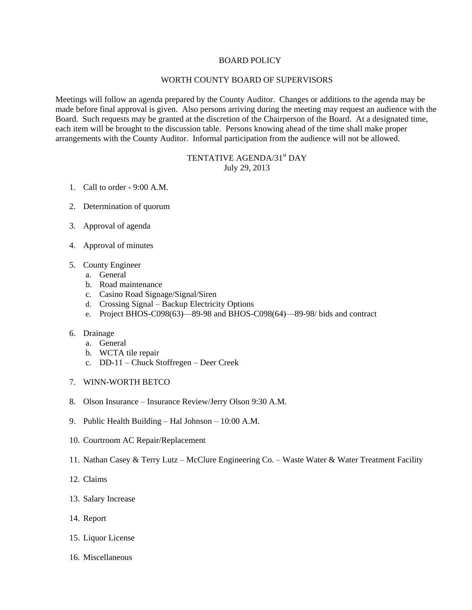## BOARD POLICY

## WORTH COUNTY BOARD OF SUPERVISORS

Meetings will follow an agenda prepared by the County Auditor. Changes or additions to the agenda may be made before final approval is given. Also persons arriving during the meeting may request an audience with the Board. Such requests may be granted at the discretion of the Chairperson of the Board. At a designated time, each item will be brought to the discussion table. Persons knowing ahead of the time shall make proper arrangements with the County Auditor. Informal participation from the audience will not be allowed.

## TENTATIVE AGENDA/31<sup>st</sup> DAY July 29, 2013

- 1. Call to order 9:00 A.M.
- 2. Determination of quorum
- 3. Approval of agenda
- 4. Approval of minutes
- 5. County Engineer
	- a. General
	- b. Road maintenance
	- c. Casino Road Signage/Signal/Siren
	- d. Crossing Signal Backup Electricity Options
	- e. Project BHOS-C098(63)—89-98 and BHOS-C098(64)—89-98/ bids and contract
- 6. Drainage
	- a. General
	- b. WCTA tile repair
	- c. DD-11 Chuck Stoffregen Deer Creek
- 7. WINN-WORTH BETCO
- 8. Olson Insurance Insurance Review/Jerry Olson 9:30 A.M.
- 9. Public Health Building Hal Johnson 10:00 A.M.
- 10. Courtroom AC Repair/Replacement
- 11. Nathan Casey & Terry Lutz McClure Engineering Co. Waste Water & Water Treatment Facility
- 12. Claims
- 13. Salary Increase
- 14. Report
- 15. Liquor License
- 16. Miscellaneous